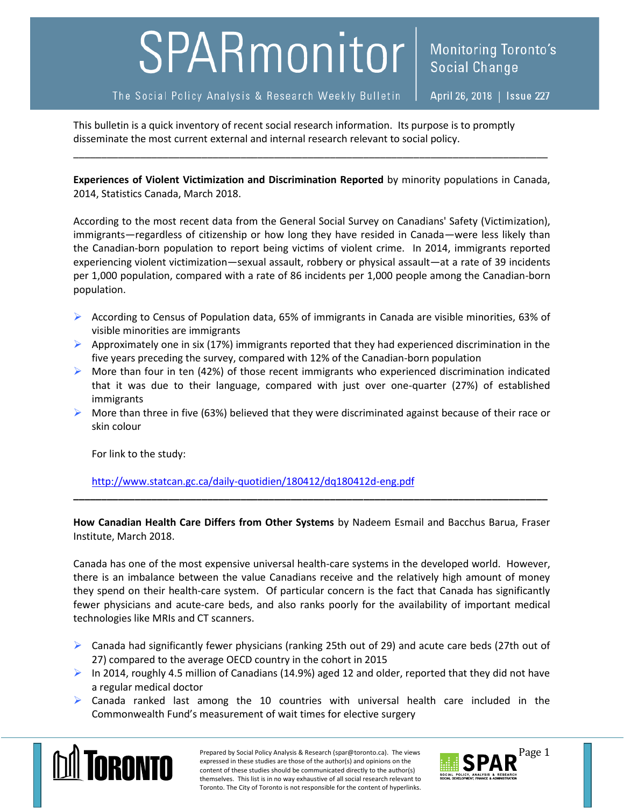## SPARmonitor

Monitoring Toronto's

This bulletin is a quick inventory of recent social research information. Its purpose is to promptly disseminate the most current external and internal research relevant to social policy.

**Experiences of Violent Victimization and Discrimination Reported** by minority populations in Canada, 2014, Statistics Canada, March 2018.

\_\_\_\_\_\_\_\_\_\_\_\_\_\_\_\_\_\_\_\_\_\_\_\_\_\_\_\_\_\_\_\_\_\_\_\_\_\_\_\_\_\_\_\_\_\_\_\_\_\_\_\_\_\_\_\_\_\_\_\_\_\_\_\_\_\_\_\_\_\_\_\_\_\_\_\_\_\_\_\_\_\_\_\_\_

According to the most recent data from the General Social Survey on Canadians' Safety (Victimization), immigrants—regardless of citizenship or how long they have resided in Canada—were less likely than the Canadian-born population to report being victims of violent crime. In 2014, immigrants reported experiencing violent victimization—sexual assault, robbery or physical assault—at a rate of 39 incidents per 1,000 population, compared with a rate of 86 incidents per 1,000 people among the Canadian-born population.

- According to Census of Population data, 65% of immigrants in Canada are visible minorities, 63% of visible minorities are immigrants
- Approximately one in six (17%) immigrants reported that they had experienced discrimination in the five years preceding the survey, compared with 12% of the Canadian-born population
- $\triangleright$  More than four in ten (42%) of those recent immigrants who experienced discrimination indicated that it was due to their language, compared with just over one-quarter (27%) of established immigrants
- $\triangleright$  More than three in five (63%) believed that they were discriminated against because of their race or skin colour

For link to the study:

<http://www.statcan.gc.ca/daily-quotidien/180412/dq180412d-eng.pdf>

**How Canadian Health Care Differs from Other Systems** by Nadeem Esmail and Bacchus Barua, Fraser Institute, March 2018.

**\_\_\_\_\_\_\_\_\_\_\_\_\_\_\_\_\_\_\_\_\_\_\_\_\_\_\_\_\_\_\_\_\_\_\_\_\_\_\_\_\_\_\_\_\_\_\_\_\_\_\_\_\_\_\_\_\_\_\_\_\_\_\_\_\_\_\_\_\_\_\_\_\_\_\_\_\_\_\_\_\_\_\_\_\_**

Canada has one of the most expensive universal health-care systems in the developed world. However, there is an imbalance between the value Canadians receive and the relatively high amount of money they spend on their health-care system. Of particular concern is the fact that Canada has significantly fewer physicians and acute-care beds, and also ranks poorly for the availability of important medical technologies like MRIs and CT scanners.

- $\triangleright$  Canada had significantly fewer physicians (ranking 25th out of 29) and acute care beds (27th out of 27) compared to the average OECD country in the cohort in 2015
- $\triangleright$  In 2014, roughly 4.5 million of Canadians (14.9%) aged 12 and older, reported that they did not have a regular medical doctor
- $\triangleright$  Canada ranked last among the 10 countries with universal health care included in the Commonwealth Fund's measurement of wait times for elective surgery



Prepared by Social Policy Analysis & Research (spar@toronto.ca). The views Page 1 expressed in these studies are those of the author(s) and opinions on the content of these studies should be communicated directly to the author(s) themselves. This list is in no way exhaustive of all social research relevant to Toronto. The City of Toronto is not responsible for the content of hyperlinks.

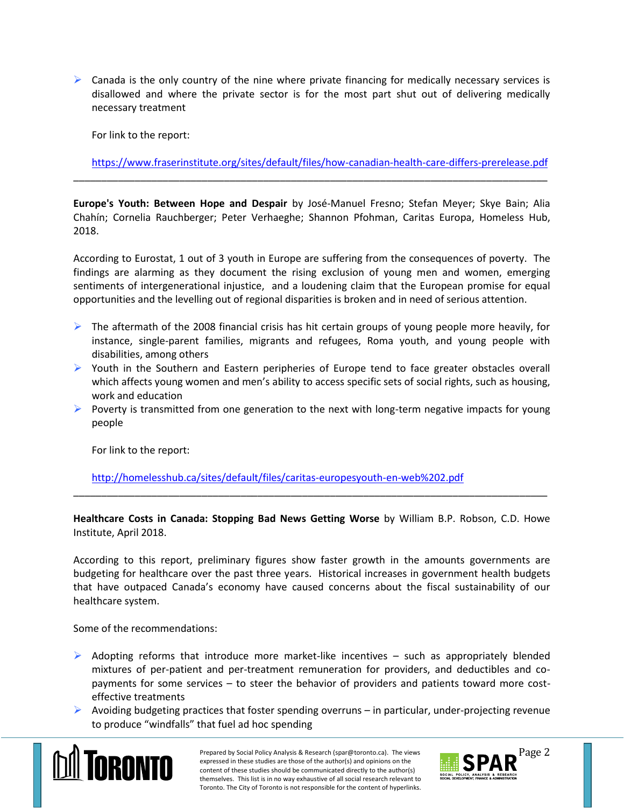$\triangleright$  Canada is the only country of the nine where private financing for medically necessary services is disallowed and where the private sector is for the most part shut out of delivering medically necessary treatment

For link to the report:

<https://www.fraserinstitute.org/sites/default/files/how-canadian-health-care-differs-prerelease.pdf>

**Europe's Youth: Between Hope and Despair** by José-Manuel Fresno; Stefan Meyer; Skye Bain; Alia Chahín; Cornelia Rauchberger; Peter Verhaeghe; Shannon Pfohman, Caritas Europa, Homeless Hub, 2018.

\_\_\_\_\_\_\_\_\_\_\_\_\_\_\_\_\_\_\_\_\_\_\_\_\_\_\_\_\_\_\_\_\_\_\_\_\_\_\_\_\_\_\_\_\_\_\_\_\_\_\_\_\_\_\_\_\_\_\_\_\_\_\_\_\_\_\_\_\_\_\_\_\_\_\_\_\_\_\_\_\_\_\_\_\_

According to Eurostat, 1 out of 3 youth in Europe are suffering from the consequences of poverty. The findings are alarming as they document the rising exclusion of young men and women, emerging sentiments of intergenerational injustice, and a loudening claim that the European promise for equal opportunities and the levelling out of regional disparities is broken and in need of serious attention.

- $\triangleright$  The aftermath of the 2008 financial crisis has hit certain groups of young people more heavily, for instance, single-parent families, migrants and refugees, Roma youth, and young people with disabilities, among others
- $\triangleright$  Youth in the Southern and Eastern peripheries of Europe tend to face greater obstacles overall which affects young women and men's ability to access specific sets of social rights, such as housing, work and education
- Poverty is transmitted from one generation to the next with long-term negative impacts for young people

For link to the report:

<http://homelesshub.ca/sites/default/files/caritas-europesyouth-en-web%202.pdf>

**Healthcare Costs in Canada: Stopping Bad News Getting Worse** by William B.P. Robson, C.D. Howe Institute, April 2018.

\_\_\_\_\_\_\_\_\_\_\_\_\_\_\_\_\_\_\_\_\_\_\_\_\_\_\_\_\_\_\_\_\_\_\_\_\_\_\_\_\_\_\_\_\_\_\_\_\_\_\_\_\_\_\_\_\_\_\_\_\_\_\_\_\_\_\_\_\_\_\_\_\_\_\_\_\_\_\_\_\_\_\_\_\_

According to this report, preliminary figures show faster growth in the amounts governments are budgeting for healthcare over the past three years. Historical increases in government health budgets that have outpaced Canada's economy have caused concerns about the fiscal sustainability of our healthcare system.

Some of the recommendations:

- $\triangleright$  Adopting reforms that introduce more market-like incentives such as appropriately blended mixtures of per-patient and per-treatment remuneration for providers, and deductibles and copayments for some services – to steer the behavior of providers and patients toward more costeffective treatments
- $\triangleright$  Avoiding budgeting practices that foster spending overruns in particular, under-projecting revenue to produce "windfalls" that fuel ad hoc spending



Prepared by Social Policy Analysis & Research (spar@toronto.ca). The views Page 2 expressed in these studies are those of the author(s) and opinions on the content of these studies should be communicated directly to the author(s) themselves. This list is in no way exhaustive of all social research relevant to Toronto. The City of Toronto is not responsible for the content of hyperlinks.